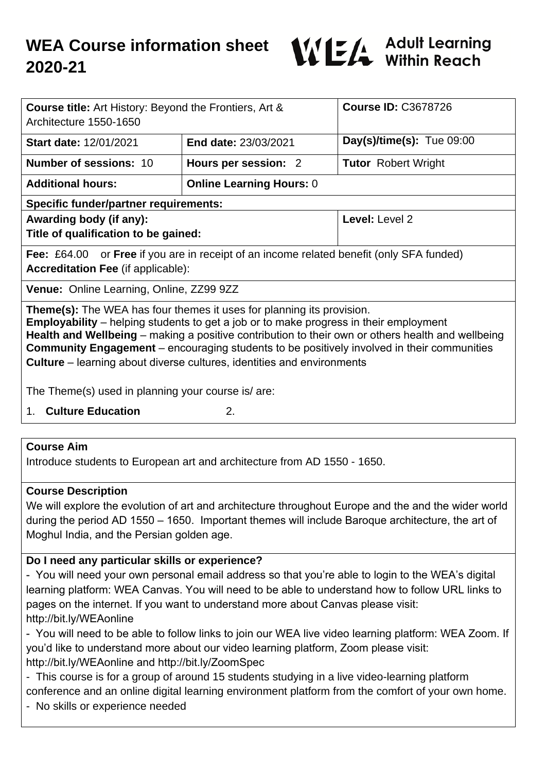

| <b>Course title:</b> Art History: Beyond the Frontiers, Art &<br>Architecture 1550-1650                                                                                                                                                                                                                                                                                                                                                                                        |                                 | <b>Course ID: C3678726</b>   |
|--------------------------------------------------------------------------------------------------------------------------------------------------------------------------------------------------------------------------------------------------------------------------------------------------------------------------------------------------------------------------------------------------------------------------------------------------------------------------------|---------------------------------|------------------------------|
| <b>Start date: 12/01/2021</b>                                                                                                                                                                                                                                                                                                                                                                                                                                                  | <b>End date: 23/03/2021</b>     | $Day(s)/time(s)$ : Tue 09:00 |
| <b>Number of sessions: 10</b>                                                                                                                                                                                                                                                                                                                                                                                                                                                  | Hours per session: 2            | <b>Tutor</b> Robert Wright   |
| <b>Additional hours:</b>                                                                                                                                                                                                                                                                                                                                                                                                                                                       | <b>Online Learning Hours: 0</b> |                              |
| <b>Specific funder/partner requirements:</b>                                                                                                                                                                                                                                                                                                                                                                                                                                   |                                 |                              |
| Awarding body (if any):                                                                                                                                                                                                                                                                                                                                                                                                                                                        |                                 | Level: Level 2               |
| Title of qualification to be gained:                                                                                                                                                                                                                                                                                                                                                                                                                                           |                                 |                              |
| <b>Fee:</b> £64.00 or <b>Free</b> if you are in receipt of an income related benefit (only SFA funded)<br><b>Accreditation Fee (if applicable):</b>                                                                                                                                                                                                                                                                                                                            |                                 |                              |
| Venue: Online Learning, Online, ZZ99 9ZZ                                                                                                                                                                                                                                                                                                                                                                                                                                       |                                 |                              |
| <b>Theme(s):</b> The WEA has four themes it uses for planning its provision.<br><b>Employability</b> – helping students to get a job or to make progress in their employment<br><b>Health and Wellbeing</b> – making a positive contribution to their own or others health and wellbeing<br><b>Community Engagement</b> – encouraging students to be positively involved in their communities<br><b>Culture</b> – learning about diverse cultures, identities and environments |                                 |                              |
| The Theme(s) used in planning your course is/are:                                                                                                                                                                                                                                                                                                                                                                                                                              |                                 |                              |

1. **Culture Education** 2.

### **Course Aim**

Introduce students to European art and architecture from AD 1550 - 1650.

#### **Course Description**

We will explore the evolution of art and architecture throughout Europe and the and the wider world during the period AD 1550 – 1650. Important themes will include Baroque architecture, the art of Moghul India, and the Persian golden age.

### **Do I need any particular skills or experience?**

- You will need your own personal email address so that you're able to login to the WEA's digital learning platform: WEA Canvas. You will need to be able to understand how to follow URL links to pages on the internet. If you want to understand more about Canvas please visit: http://bit.ly/WEAonline

- You will need to be able to follow links to join our WEA live video learning platform: WEA Zoom. If you'd like to understand more about our video learning platform, Zoom please visit: http://bit.ly/WEAonline and http://bit.ly/ZoomSpec

- This course is for a group of around 15 students studying in a live video-learning platform
- conference and an online digital learning environment platform from the comfort of your own home.
- No skills or experience needed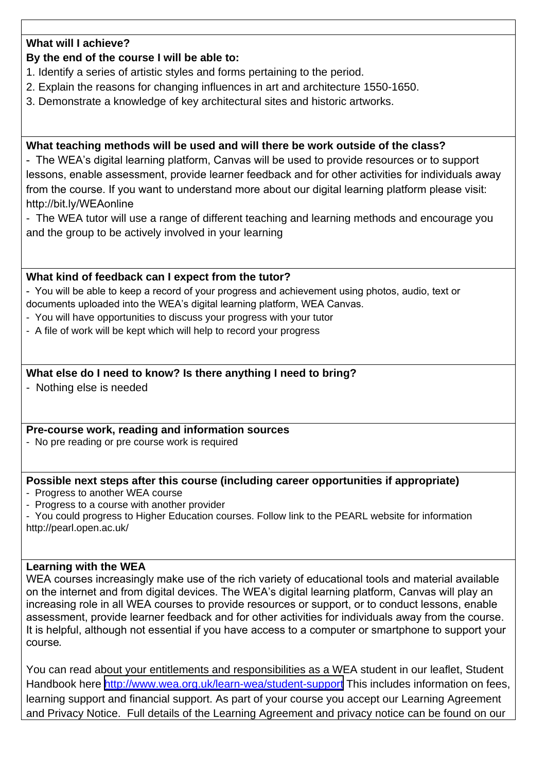# **What will I achieve?**

# **By the end of the course I will be able to:**

- 1. Identify a series of artistic styles and forms pertaining to the period.
- 2. Explain the reasons for changing influences in art and architecture 1550-1650.
- 3. Demonstrate a knowledge of key architectural sites and historic artworks.

# **What teaching methods will be used and will there be work outside of the class?**

- The WEA's digital learning platform, Canvas will be used to provide resources or to support lessons, enable assessment, provide learner feedback and for other activities for individuals away from the course. If you want to understand more about our digital learning platform please visit: http://bit.ly/WEAonline

- The WEA tutor will use a range of different teaching and learning methods and encourage you and the group to be actively involved in your learning

### **What kind of feedback can I expect from the tutor?**

- You will be able to keep a record of your progress and achievement using photos, audio, text or

- documents uploaded into the WEA's digital learning platform, WEA Canvas.
- You will have opportunities to discuss your progress with your tutor
- A file of work will be kept which will help to record your progress

### **What else do I need to know? Is there anything I need to bring?**

- Nothing else is needed

#### **Pre-course work, reading and information sources**

- No pre reading or pre course work is required

### **Possible next steps after this course (including career opportunities if appropriate)**

- Progress to another WEA course
- Progress to a course with another provider
- You could progress to Higher Education courses. Follow link to the PEARL website for information http://pearl.open.ac.uk/

#### **Learning with the WEA**

WEA courses increasingly make use of the rich variety of educational tools and material available on the internet and from digital devices. The WEA's digital learning platform, Canvas will play an increasing role in all WEA courses to provide resources or support, or to conduct lessons, enable assessment, provide learner feedback and for other activities for individuals away from the course. It is helpful, although not essential if you have access to a computer or smartphone to support your course*.*

You can read about your entitlements and responsibilities as a WEA student in our leaflet, Student Handbook here <http://www.wea.org.uk/learn-wea/student-support> This includes information on fees, learning support and financial support. As part of your course you accept our Learning Agreement and Privacy Notice. Full details of the Learning Agreement and privacy notice can be found on our